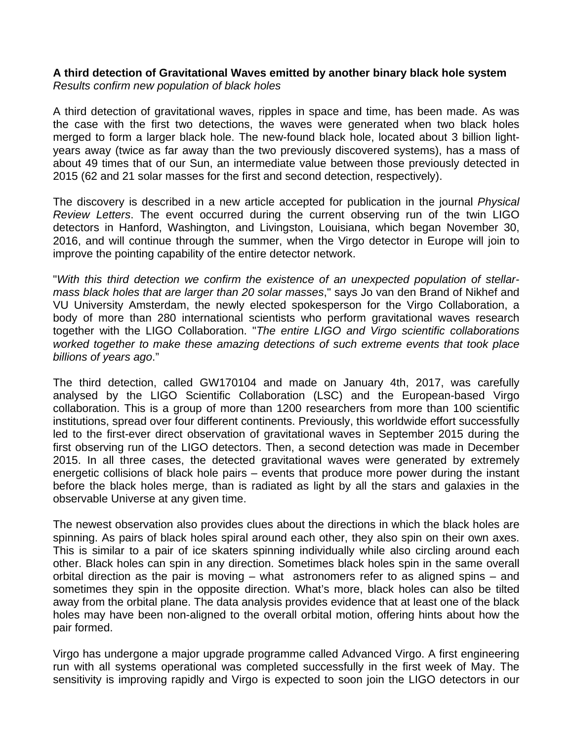## **A third detection of Gravitational Waves emitted by another binary black hole system** *Results confirm new population of black holes*

A third detection of gravitational waves, ripples in space and time, has been made. As was the case with the first two detections, the waves were generated when two black holes merged to form a larger black hole. The new-found black hole, located about 3 billion lightyears away (twice as far away than the two previously discovered systems), has a mass of about 49 times that of our Sun, an intermediate value between those previously detected in 2015 (62 and 21 solar masses for the first and second detection, respectively).

The discovery is described in a new article accepted for publication in the journal *Physical Review Letters*. The event occurred during the current observing run of the twin LIGO detectors in Hanford, Washington, and Livingston, Louisiana, which began November 30, 2016, and will continue through the summer, when the Virgo detector in Europe will join to improve the pointing capability of the entire detector network.

"*With this third detection we confirm the existence of an unexpected population of stellarmass black holes that are larger than 20 solar masses*," says Jo van den Brand of Nikhef and VU University Amsterdam, the newly elected spokesperson for the Virgo Collaboration, a body of more than 280 international scientists who perform gravitational waves research together with the LIGO Collaboration. "*The entire LIGO and Virgo scientific collaborations worked together to make these amazing detections of such extreme events that took place billions of years ago*."

The third detection, called GW170104 and made on January 4th, 2017, was carefully analysed by the LIGO Scientific Collaboration (LSC) and the European-based Virgo collaboration. This is a group of more than 1200 researchers from more than 100 scientific institutions, spread over four different continents. Previously, this worldwide effort successfully led to the first-ever direct observation of gravitational waves in September 2015 during the first observing run of the LIGO detectors. Then, a second detection was made in December 2015. In all three cases, the detected gravitational waves were generated by extremely energetic collisions of black hole pairs – events that produce more power during the instant before the black holes merge, than is radiated as light by all the stars and galaxies in the observable Universe at any given time.

The newest observation also provides clues about the directions in which the black holes are spinning. As pairs of black holes spiral around each other, they also spin on their own axes. This is similar to a pair of ice skaters spinning individually while also circling around each other. Black holes can spin in any direction. Sometimes black holes spin in the same overall orbital direction as the pair is moving – what astronomers refer to as aligned spins – and sometimes they spin in the opposite direction. What's more, black holes can also be tilted away from the orbital plane. The data analysis provides evidence that at least one of the black holes may have been non-aligned to the overall orbital motion, offering hints about how the pair formed.

Virgo has undergone a major upgrade programme called Advanced Virgo. A first engineering run with all systems operational was completed successfully in the first week of May. The sensitivity is improving rapidly and Virgo is expected to soon join the LIGO detectors in our